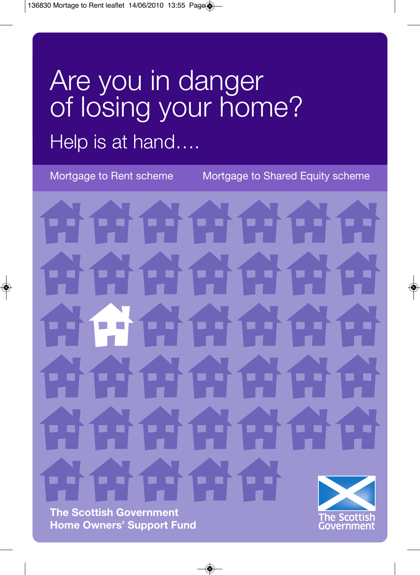# Are you in danger of losing your home? Help is at hand….

Mortgage to Rent scheme Mortgage to Shared Equity scheme

**The Scottish Government Home Owners' Support Fund**

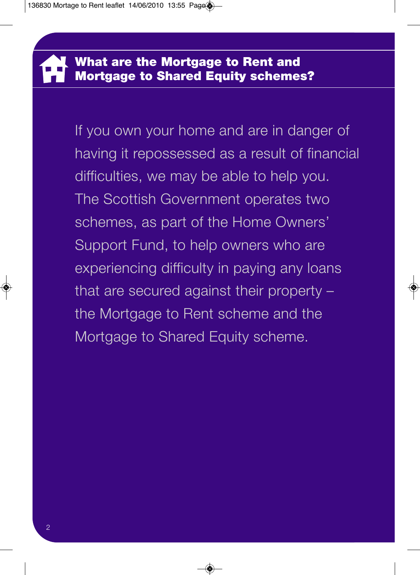If you own your home and are in danger of having it repossessed as a result of financial difficulties, we may be able to help you. The Scottish Government operates two schemes, as part of the Home Owners' Support Fund, to help owners who are experiencing difficulty in paying any loans that are secured against their property – the Mortgage to Rent scheme and the Mortgage to Shared Equity scheme.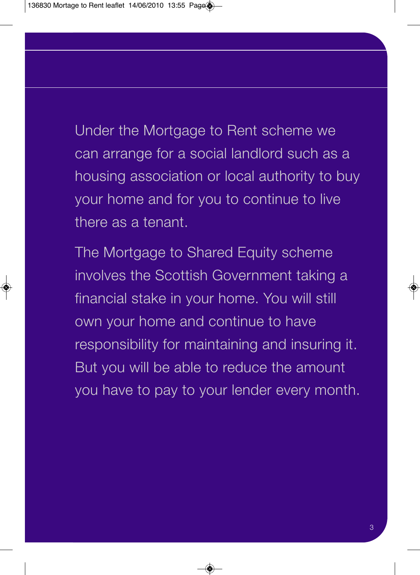Under the Mortgage to Rent scheme we can arrange for a social landlord such as a housing association or local authority to buy your home and for you to continue to live there as a tenant.

The Mortgage to Shared Equity scheme involves the Scottish Government taking a financial stake in your home. You will still own your home and continue to have responsibility for maintaining and insuring it. But you will be able to reduce the amount you have to pay to your lender every month.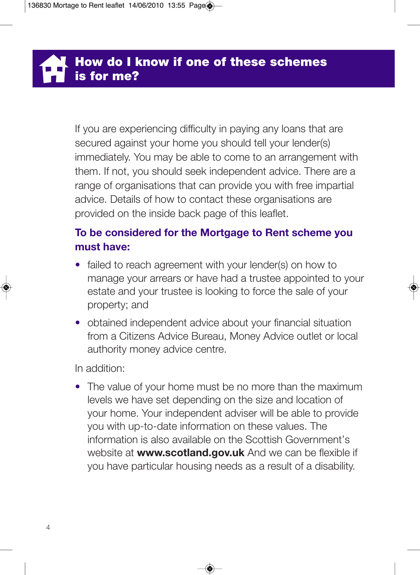If you are experiencing difficulty in paying any loans that are secured against your home you should tell your lender(s) immediately. You may be able to come to an arrangement with them. If not, you should seek independent advice. There are a range of organisations that can provide you with free impartial advice. Details of how to contact these organisations are provided on the inside back page of this leaflet.

### **To be considered for the Mortgage to Rent scheme you must have:**

- failed to reach agreement with your lender(s) on how to manage your arrears or have had a trustee appointed to your estate and your trustee is looking to force the sale of your property; and
- obtained independent advice about your financial situation from a Citizens Advice Bureau, Money Advice outlet or local authority money advice centre.

In addition:

• The value of your home must be no more than the maximum levels we have set depending on the size and location of your home. Your independent adviser will be able to provide you with up-to-date information on these values. The information is also available on the Scottish Government's website at **www.scotland.gov.uk** And we can be flexible if you have particular housing needs as a result of a disability.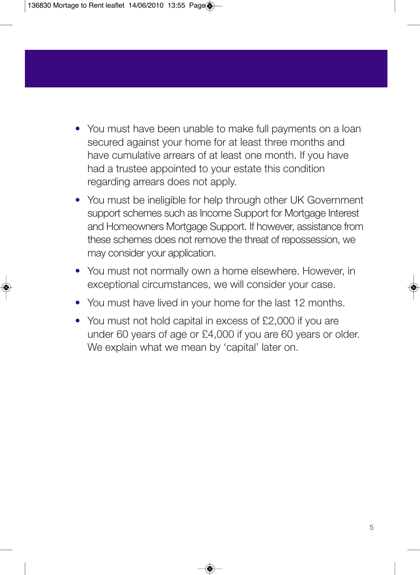- You must have been unable to make full payments on a loan secured against your home for at least three months and have cumulative arrears of at least one month. If you have had a trustee appointed to your estate this condition regarding arrears does not apply.
- You must be ineligible for help through other UK Government support schemes such as Income Support for Mortgage Interest and Homeowners Mortgage Support. If however, assistance from these schemes does not remove the threat of repossession, we may consider your application.
- You must not normally own a home elsewhere. However, in exceptional circumstances, we will consider your case.
- You must have lived in your home for the last 12 months.
- You must not hold capital in excess of £2,000 if you are under 60 years of age or £4,000 if you are 60 years or older. We explain what we mean by 'capital' later on.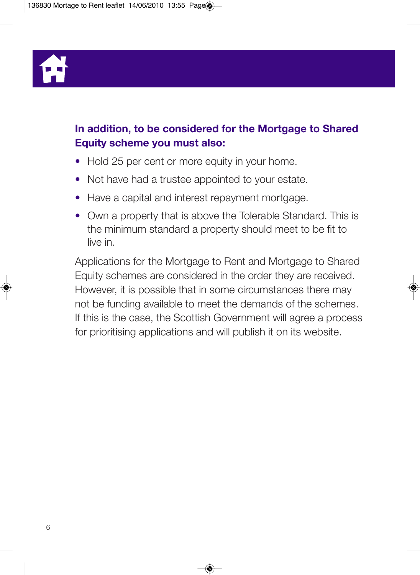

### **In addition, to be considered for the Mortgage to Shared Equity scheme you must also:**

- Hold 25 per cent or more equity in your home.
- Not have had a trustee appointed to your estate.
- Have a capital and interest repayment mortgage.
- Own a property that is above the Tolerable Standard. This is the minimum standard a property should meet to be fit to live in.

Applications for the Mortgage to Rent and Mortgage to Shared Equity schemes are considered in the order they are received. However, it is possible that in some circumstances there may not be funding available to meet the demands of the schemes. If this is the case, the Scottish Government will agree a process for prioritising applications and will publish it on its website.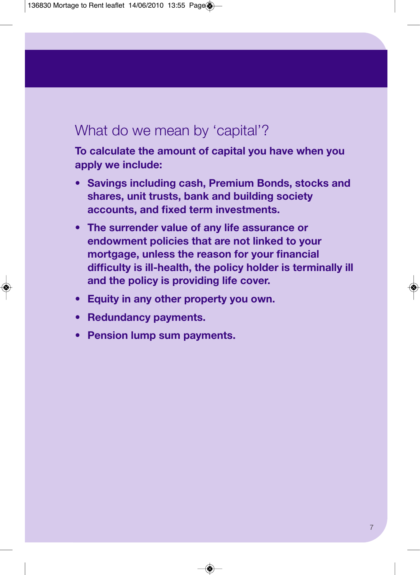# What do we mean by 'capital'?

**To calculate the amount of capital you have when you apply we include:**

- **Savings including cash, Premium Bonds, stocks and shares, unit trusts, bank and building society accounts, and fixed term investments.**
- **The surrender value of any life assurance or endowment policies that are not linked to your mortgage, unless the reason for your financial difficulty is ill-health, the policy holder is terminally ill and the policy is providing life cover.**
- **Equity in any other property you own.**
- **Redundancy payments.**
- **Pension lump sum payments.**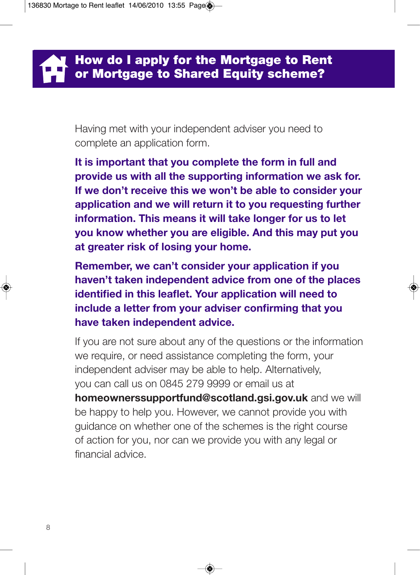Having met with your independent adviser you need to complete an application form.

**It is important that you complete the form in full and provide us with all the supporting information we ask for. If we don't receive this we won't be able to consider your application and we will return it to you requesting further information. This means it will take longer for us to let you know whether you are eligible. And this may put you at greater risk of losing your home.** 

**Remember, we can't consider your application if you haven't taken independent advice from one of the places identified in this leaflet. Your application will need to include a letter from your adviser confirming that you have taken independent advice.** 

If you are not sure about any of the questions or the information we require, or need assistance completing the form, your independent adviser may be able to help. Alternatively, you can call us on 0845 279 9999 or email us at **homeownerssupportfund@scotland.gsi.gov.uk** and we will be happy to help you. However, we cannot provide you with guidance on whether one of the schemes is the right course of action for you, nor can we provide you with any legal or financial advice.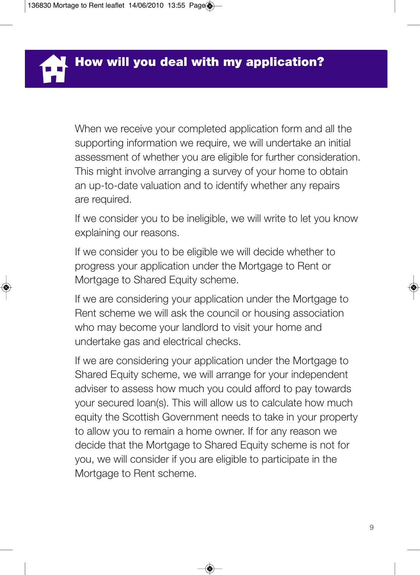When we receive your completed application form and all the supporting information we require, we will undertake an initial assessment of whether you are eligible for further consideration. This might involve arranging a survey of your home to obtain an up-to-date valuation and to identify whether any repairs are required.

If we consider you to be ineligible, we will write to let you know explaining our reasons.

If we consider you to be eligible we will decide whether to progress your application under the Mortgage to Rent or Mortgage to Shared Equity scheme.

If we are considering your application under the Mortgage to Rent scheme we will ask the council or housing association who may become your landlord to visit your home and undertake gas and electrical checks.

If we are considering your application under the Mortgage to Shared Equity scheme, we will arrange for your independent adviser to assess how much you could afford to pay towards your secured loan(s). This will allow us to calculate how much equity the Scottish Government needs to take in your property to allow you to remain a home owner. If for any reason we decide that the Mortgage to Shared Equity scheme is not for you, we will consider if you are eligible to participate in the Mortgage to Rent scheme.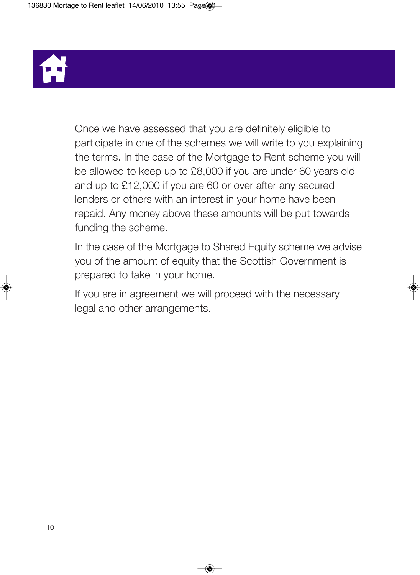

Once we have assessed that you are definitely eligible to participate in one of the schemes we will write to you explaining the terms. In the case of the Mortgage to Rent scheme you will be allowed to keep up to £8,000 if you are under 60 years old and up to £12,000 if you are 60 or over after any secured lenders or others with an interest in your home have been repaid. Any money above these amounts will be put towards funding the scheme.

In the case of the Mortgage to Shared Equity scheme we advise you of the amount of equity that the Scottish Government is prepared to take in your home.

If you are in agreement we will proceed with the necessary legal and other arrangements.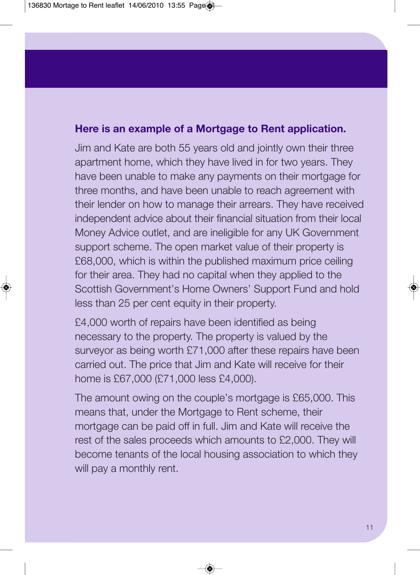#### **Here is an example of a Mortgage to Rent application.**

Jim and Kate are both 55 years old and jointly own their three apartment home, which they have lived in for two years. They have been unable to make any payments on their mortgage for three months, and have been unable to reach agreement with their lender on how to manage their arrears. They have received independent advice about their financial situation from their local Money Advice outlet, and are ineligible for any UK Government support scheme. The open market value of their property is £68,000, which is within the published maximum price ceiling for their area. They had no capital when they applied to the Scottish Government's Home Owners' Support Fund and hold less than 25 per cent equity in their property.

£4,000 worth of repairs have been identified as being necessary to the property. The property is valued by the surveyor as being worth £71,000 after these repairs have been carried out. The price that Jim and Kate will receive for their home is £67,000 (£71,000 less £4,000).

The amount owing on the couple's mortgage is £65,000. This means that, under the Mortgage to Rent scheme, their mortgage can be paid off in full. Jim and Kate will receive the rest of the sales proceeds which amounts to £2,000. They will become tenants of the local housing association to which they will pay a monthly rent.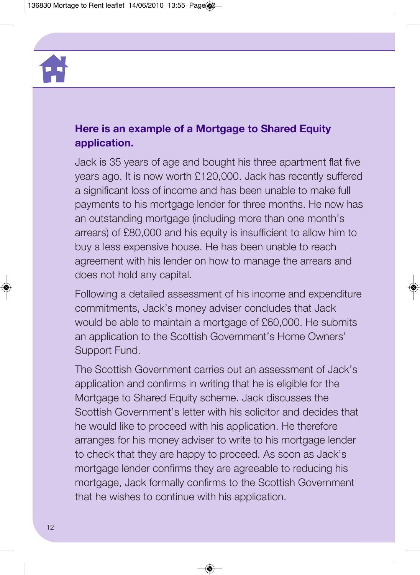

#### **Here is an example of a Mortgage to Shared Equity application.**

Jack is 35 years of age and bought his three apartment flat five years ago. It is now worth £120,000. Jack has recently suffered a significant loss of income and has been unable to make full payments to his mortgage lender for three months. He now has an outstanding mortgage (including more than one month's arrears) of £80,000 and his equity is insufficient to allow him to buy a less expensive house. He has been unable to reach agreement with his lender on how to manage the arrears and does not hold any capital.

Following a detailed assessment of his income and expenditure commitments, Jack's money adviser concludes that Jack would be able to maintain a mortgage of £60,000. He submits an application to the Scottish Government's Home Owners' Support Fund.

The Scottish Government carries out an assessment of Jack's application and confirms in writing that he is eligible for the Mortgage to Shared Equity scheme. Jack discusses the Scottish Government's letter with his solicitor and decides that he would like to proceed with his application. He therefore arranges for his money adviser to write to his mortgage lender to check that they are happy to proceed. As soon as Jack's mortgage lender confirms they are agreeable to reducing his mortgage, Jack formally confirms to the Scottish Government that he wishes to continue with his application.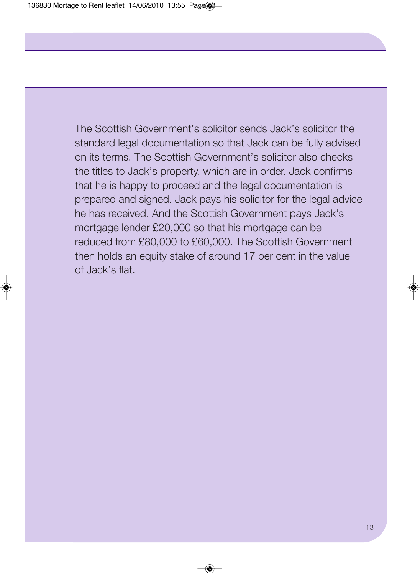The Scottish Government's solicitor sends Jack's solicitor the standard legal documentation so that Jack can be fully advised on its terms. The Scottish Government's solicitor also checks the titles to Jack's property, which are in order. Jack confirms that he is happy to proceed and the legal documentation is prepared and signed. Jack pays his solicitor for the legal advice he has received. And the Scottish Government pays Jack's mortgage lender £20,000 so that his mortgage can be reduced from £80,000 to £60,000. The Scottish Government then holds an equity stake of around 17 per cent in the value of Jack's flat.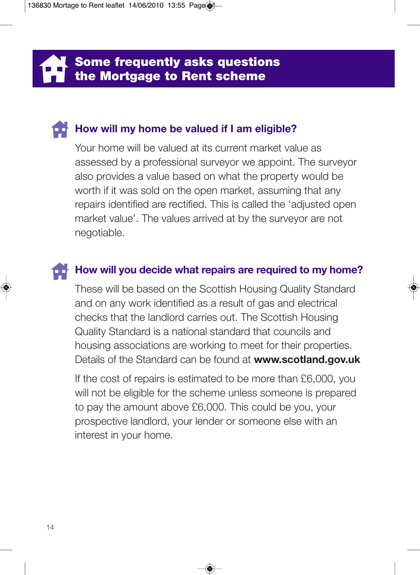**Some frequently asks questions the Mortgage to Rent scheme** 

### **How will my home be valued if I am eligible?**

Your home will be valued at its current market value as assessed by a professional surveyor we appoint. The surveyor also provides a value based on what the property would be worth if it was sold on the open market, assuming that any repairs identified are rectified. This is called the 'adjusted open market value'. The values arrived at by the surveyor are not negotiable.

#### **How will you decide what repairs are required to my home?**

These will be based on the Scottish Housing Quality Standard and on any work identified as a result of gas and electrical checks that the landlord carries out. The Scottish Housing Quality Standard is a national standard that councils and housing associations are working to meet for their properties. Details of the Standard can be found at **www.scotland.gov.uk**

If the cost of repairs is estimated to be more than £6,000, you will not be eligible for the scheme unless someone is prepared to pay the amount above £6,000. This could be you, your prospective landlord, your lender or someone else with an interest in your home.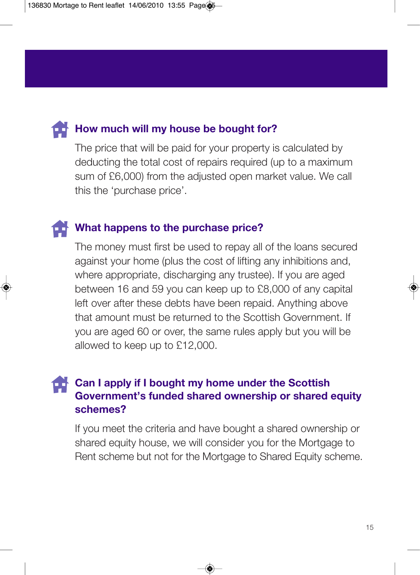

### **How much will my house be bought for?**

The price that will be paid for your property is calculated by deducting the total cost of repairs required (up to a maximum sum of £6,000) from the adjusted open market value. We call this the 'purchase price'.

#### **What happens to the purchase price?**

The money must first be used to repay all of the loans secured against your home (plus the cost of lifting any inhibitions and, where appropriate, discharging any trustee). If you are aged between 16 and 59 you can keep up to £8,000 of any capital left over after these debts have been repaid. Anything above that amount must be returned to the Scottish Government. If you are aged 60 or over, the same rules apply but you will be allowed to keep up to £12,000.

### **Can I apply if I bought my home under the Scottish Government's funded shared ownership or shared equity schemes?**

If you meet the criteria and have bought a shared ownership or shared equity house, we will consider you for the Mortgage to Rent scheme but not for the Mortgage to Shared Equity scheme.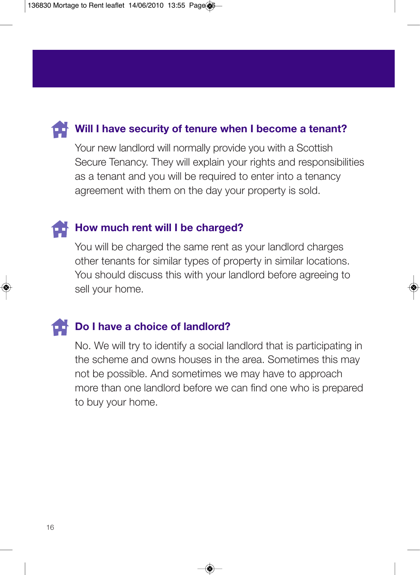# **Will I have security of tenure when I become a tenant?**

Your new landlord will normally provide you with a Scottish Secure Tenancy. They will explain your rights and responsibilities as a tenant and you will be required to enter into a tenancy agreement with them on the day your property is sold.

### **How much rent will I be charged?**

You will be charged the same rent as your landlord charges other tenants for similar types of property in similar locations. You should discuss this with your landlord before agreeing to sell your home.

# **Do I have a choice of landlord?**

No. We will try to identify a social landlord that is participating in the scheme and owns houses in the area. Sometimes this may not be possible. And sometimes we may have to approach more than one landlord before we can find one who is prepared to buy your home.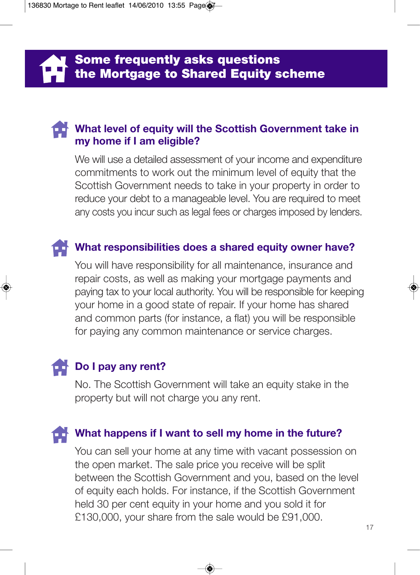# **What level of equity will the Scottish Government take in my home if I am eligible?**

We will use a detailed assessment of your income and expenditure commitments to work out the minimum level of equity that the Scottish Government needs to take in your property in order to reduce your debt to a manageable level. You are required to meet any costs you incur such as legal fees or charges imposed by lenders.

# **What responsibilities does a shared equity owner have?**

You will have responsibility for all maintenance, insurance and repair costs, as well as making your mortgage payments and paying tax to your local authority. You will be responsible for keeping your home in a good state of repair. If your home has shared and common parts (for instance, a flat) you will be responsible for paying any common maintenance or service charges.

# **Do I pay any rent?**

No. The Scottish Government will take an equity stake in the property but will not charge you any rent.

### **What happens if I want to sell my home in the future?**

You can sell your home at any time with vacant possession on the open market. The sale price you receive will be split between the Scottish Government and you, based on the level of equity each holds. For instance, if the Scottish Government held 30 per cent equity in your home and you sold it for £130,000, your share from the sale would be £91,000.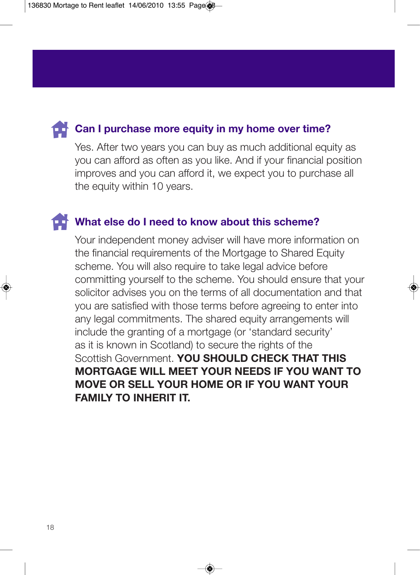

#### **Can I purchase more equity in my home over time?**

Yes. After two years you can buy as much additional equity as you can afford as often as you like. And if your financial position improves and you can afford it, we expect you to purchase all the equity within 10 years.

#### **What else do I need to know about this scheme?**

Your independent money adviser will have more information on the financial requirements of the Mortgage to Shared Equity scheme. You will also require to take legal advice before committing yourself to the scheme. You should ensure that your solicitor advises you on the terms of all documentation and that you are satisfied with those terms before agreeing to enter into any legal commitments. The shared equity arrangements will include the granting of a mortgage (or 'standard security' as it is known in Scotland) to secure the rights of the Scottish Government. **YOU SHOULD CHECK THAT THIS MORTGAGE WILL MEET YOUR NEEDS IF YOU WANT TO MOVE OR SELL YOUR HOME OR IF YOU WANT YOUR FAMILY TO INHERIT IT.**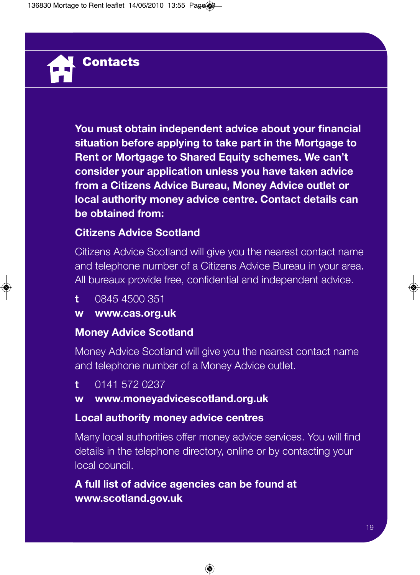**You must obtain independent advice about your financial situation before applying to take part in the Mortgage to Rent or Mortgage to Shared Equity schemes. We can't consider your application unless you have taken advice from a Citizens Advice Bureau, Money Advice outlet or local authority money advice centre. Contact details can be obtained from:**

#### **Citizens Advice Scotland**

Citizens Advice Scotland will give you the nearest contact name and telephone number of a Citizens Advice Bureau in your area. All bureaux provide free, confidential and independent advice.

**t** 0845 4500 351

**Contacts**

**w www.cas.org.uk**

#### **Money Advice Scotland**

Money Advice Scotland will give you the nearest contact name and telephone number of a Money Advice outlet.

**t** 0141 572 0237

#### **w www.moneyadvicescotland.org.uk**

#### **Local authority money advice centres**

Many local authorities offer money advice services. You will find details in the telephone directory, online or by contacting your local council.

### **A full list of advice agencies can be found at www.scotland.gov.uk**